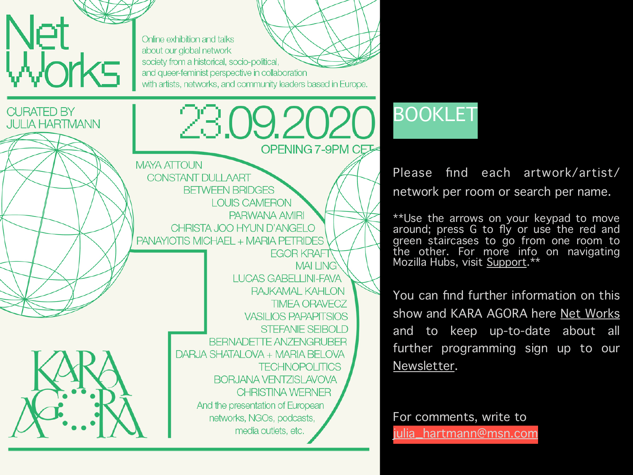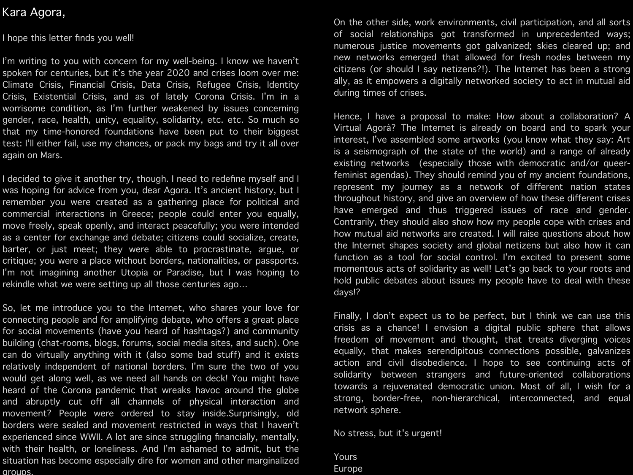# Kara Agora,

I hope this letter finds you well!

I'm writing to you with concern for my well-being. I know we haven't spoken for centuries, but it's the year 2020 and crises loom over me: Climate Crisis, Financial Crisis, Data Crisis, Refugee Crisis, Identity Crisis, Existential Crisis, and as of lately Corona Crisis. I'm in a worrisome condition, as I'm further weakened by issues concerning gender, race, health, unity, equality, solidarity, etc. etc. So much so that my time-honored foundations have been put to their biggest test: I'll either fail, use my chances, or pack my bags and try it all over again on Mars.

I decided to give it another try, though. I need to redefine myself and I was hoping for advice from you, dear Agora. It's ancient history, but I remember you were created as a gathering place for political and commercial interactions in Greece; people could enter you equally, move freely, speak openly, and interact peacefully; you were intended as a center for exchange and debate; citizens could socialize, create, barter, or just meet; they were able to procrastinate, argue, or critique; you were a place without borders, nationalities, or passports. I'm not imagining another Utopia or Paradise, but I was hoping to rekindle what we were setting up all those centuries ago…

So, let me introduce you to the Internet, who shares your love for connecting people and for amplifying debate, who offers a great place for social movements (have you heard of hashtags?) and community building (chat-rooms, blogs, forums, social media sites, and such). One can do virtually anything with it (also some bad stuff) and it exists relatively independent of national borders. I'm sure the two of you would get along well, as we need all hands on deck! You might have heard of the Corona pandemic that wreaks havoc around the globe and abruptly cut off all channels of physical interaction and movement? People were ordered to stay inside.Surprisingly, old borders were sealed and movement restricted in ways that I haven't experienced since WWII. A lot are since struggling financially, mentally, with their health, or loneliness. And I'm ashamed to admit, but the situation has become especially dire for women and other marginalized groups.

On the other side, work environments, civil participation, and all sorts of social relationships got transformed in unprecedented ways; numerous justice movements got galvanized; skies cleared up; and new networks emerged that allowed for fresh nodes between my citizens (or should I say netizens?!). The Internet has been a strong ally, as it empowers a digitally networked society to act in mutual aid during times of crises.

Hence, I have a proposal to make: How about a collaboration? A Virtual Agorà? The Internet is already on board and to spark your interest, I've assembled some artworks (you know what they say: Art is a seismograph of the state of the world) and a range of already existing networks (especially those with democratic and/or queerfeminist agendas). They should remind you of my ancient foundations, represent my journey as a network of different nation states throughout history, and give an overview of how these different crises have emerged and thus triggered issues of race and gender. Contrarily, they should also show how my people cope with crises and how mutual aid networks are created. I will raise questions about how the Internet shapes society and global netizens but also how it can function as a tool for social control. I'm excited to present some momentous acts of solidarity as well! Let's go back to your roots and hold public debates about issues my people have to deal with these days!?

Finally, I don't expect us to be perfect, but I think we can use this crisis as a chance! I envision a digital public sphere that allows freedom of movement and thought, that treats diverging voices equally, that makes serendipitous connections possible, galvanizes action and civil disobedience. I hope to see continuing acts of solidarity between strangers and future-oriented collaborations towards a rejuvenated democratic union. Most of all, I wish for a strong, border-free, non-hierarchical, interconnected, and equal network sphere.

No stress, but it's urgent!

Yours Europe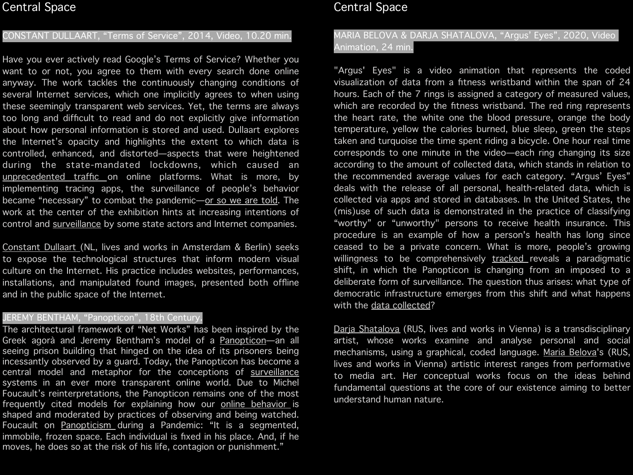## Central Space

#### CONSTANT DULLAART, "Terms of Service", 2014, Video, 10.20 min.

Have you ever actively read Google's Terms of Service? Whether you want to or not, you agree to them with every search done online anyway. The work tackles the continuously changing conditions of several Internet services, which one implicitly agrees to when using these seemingly transparent web services. Yet, the terms are always too long and difficult to read and do not explicitly give information about how personal information is stored and used. Dullaart explores the Internet's opacity and highlights the extent to which data is controlled, enhanced, and distorted—aspects that were heightened during the state-mandated lockdowns, which caused an [unprecedented traffic](http://www.apple.com) on online platforms. What is more, by implementing tracing apps, the surveillance of people's behavior became "necessary" to combat the pandemic-or so we are told. The work at the center of the exhibition hints at increasing intentions of control and [surveillance](https://www.opendemocracy.net/en/pandemic-border/covid-19-can-technology-become-tool-oppression-and-surveillance/) by some state actors and Internet companies.

[Constant Dullaart \(](https://constantdullaart.com/%E2%9C%8A%E2%98%94%E2%98%81%E2%98%81%E2%98%81%E2%98%A0%E2%9B%94%E2%98%81%E2%98%81%E2%98%81%E2%8F%B3%E2%98%94%E2%9A%A0%E2%98%81%E2%98%81%E2%9B%94%E2%8F%B3%E2%98%A0%F0%9F%92%A3%E2%9C%8A%F0%9F%8F%BE/)NL, lives and works in Amsterdam & Berlin) seeks to expose the technological structures that inform modern visual culture on the Internet. His practice includes websites, performances, installations, and manipulated found images, presented both offline and in the public space of the Internet.

### JEREMY BENTHAM, "Panopticon", 18th Century.

The architectural framework of "Net Works" has been inspired by the Greek agorà and Jeremy Bentham's model of a [Panopticon](https://en.wikipedia.org/wiki/Panopticon)—an all seeing prison building that hinged on the idea of its prisoners being incessantly observed by a guard. Today, the Panopticon has become a central model and metaphor for the conceptions of [surveillance](https://www.theguardian.com/technology/2015/jul/23/panopticon-digital-surveillance-jeremy-bentham) systems in an ever more transparent online world. Due to Michel Foucault's reinterpretations, the Panopticon remains one of the most frequently cited models for explaining how our [online behavior](https://philosophyforchange.wordpress.com/2012/06/21/foucault-and-social-media-life-in-a-virtual-panopticon/) is shaped and moderated by practices of observing and being watched. Foucault on [Panopticism](https://foucault.info/documents/foucault.disciplineAndPunish.panOpticism/) during a Pandemic: "It is a segmented, immobile, frozen space. Each individual is fixed in his place. And, if he moves, he does so at the risk of his life, contagion or punishment."

# Central Space

## MARIA BELOVA & DARJA SHATALOVA, "Argus' Eyes", 2020, Video Animation, 24 min.

"Argus' Eyes" is a video animation that represents the coded visualization of data from a fitness wristband within the span of 24 hours. Each of the 7 rings is assigned a category of measured values, which are recorded by the fitness wristband. The red ring represents the heart rate, the white one the blood pressure, orange the body temperature, yellow the calories burned, blue sleep, green the steps taken and turquoise the time spent riding a bicycle. One hour real time corresponds to one minute in the video—each ring changing its size according to the amount of collected data, which stands in relation to the recommended average values for each category. "Argus' Eyes" deals with the release of all personal, health-related data, which is collected via apps and stored in databases. In the United States, the (mis)use of such data is demonstrated in the practice of classifying "worthy" or "unworthy" persons to receive health insurance. This procedure is an example of how a person's health has long since ceased to be a private concern. What is more, people's growing willingness to be comprehensively [tracked](https://www.technologyreview.com/2020/05/07/1000961/launching-mittr-covid-tracing-tracker/) reveals a paradigmatic shift, in which the Panopticon is changing from an imposed to a deliberate form of surveillance. The question thus arises: what type of democratic infrastructure emerges from this shift and what happens with the [data collected](https://algorithmwatch.org/en/project/automating-society-2020-covid19/?fbclid=IwAR1tvuO0Hk0F5rYEkXmp9dU3qwM9T1m547euo1PQL4yss-e2P8-AlTW-FRI)?

Daria Shatalova (RUS, lives and works in Vienna) is a transdisciplinary artist, whose works examine and analyse personal and social mechanisms, using a graphical, coded language. [Maria Belova](http://www.instagram.com/mkrauz)'s (RUS, lives and works in Vienna) artistic interest ranges from performative to media art. Her conceptual works focus on the ideas behind fundamental questions at the core of our existence aiming to better understand human nature.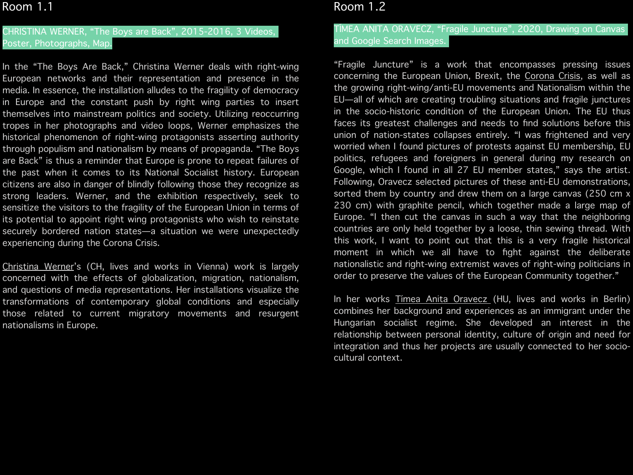## CHRISTINA WERNER, "The Boys are Back", 2015-2016, 3 Videos, Poster, Photographs, Map.

In the "The Boys Are Back," Christina Werner deals with right-wing European networks and their representation and presence in the media. In essence, the installation alludes to the fragility of democracy in Europe and the constant push by right wing parties to insert themselves into mainstream politics and society. Utilizing reoccurring tropes in her photographs and video loops, Werner emphasizes the historical phenomenon of right-wing protagonists asserting authority through populism and nationalism by means of propaganda. "The Boys are Back" is thus a reminder that Europe is prone to repeat failures of the past when it comes to its National Socialist history. European citizens are also in danger of blindly following those they recognize as strong leaders. Werner, and the exhibition respectively, seek to sensitize the visitors to the fragility of the European Union in terms of its potential to appoint right wing protagonists who wish to reinstate securely bordered nation states—a situation we were unexpectedly experiencing during the Corona Crisis.

[Christina Werner'](https://www.christinawerner.com)s (CH, lives and works in Vienna) work is largely concerned with the effects of globalization, migration, nationalism, and questions of media representations. Her installations visualize the transformations of contemporary global conditions and especially those related to current migratory movements and resurgent nationalisms in Europe.

## Room 1.2

### TÍMEA ANITA ORAVECZ, "Fragile Juncture", 2020, Drawing on Canvas and Google Search Images.

"Fragile Juncture" is a work that encompasses pressing issues concerning the European Union, Brexit, the [Corona Crisis,](https://roarmag.org/magazine/everyday-borders-everyday-resistance/) as well as the growing right-wing/anti-EU movements and Nationalism within the EU—all of which are creating troubling situations and fragile junctures in the socio-historic condition of the European Union. The EU thus faces its greatest challenges and needs to find solutions before this union of nation-states collapses entirely. "I was frightened and very worried when I found pictures of protests against EU membership, EU politics, refugees and foreigners in general during my research on Google, which I found in all 27 EU member states," says the artist. Following, Oravecz selected pictures of these anti-EU demonstrations, sorted them by country and drew them on a large canvas (250 cm x 230 cm) with graphite pencil, which together made a large map of Europe. "I then cut the canvas in such a way that the neighboring countries are only held together by a loose, thin sewing thread. With this work, I want to point out that this is a very fragile historical moment in which we all have to fight against the deliberate nationalistic and right-wing extremist waves of right-wing politicians in order to preserve the values of the European Community together."

In her works Timea Anita Oravecz (HU, lives and works in Berlin) combines her background and experiences as an immigrant under the Hungarian socialist regime. She developed an interest in the relationship between personal identity, culture of origin and need for integration and thus her projects are usually connected to her sociocultural context.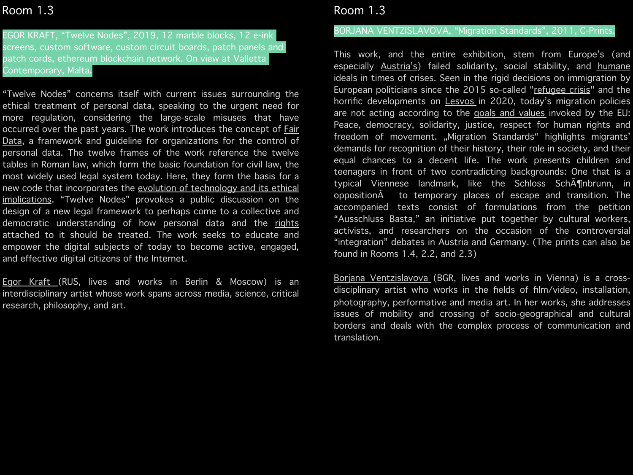EGOR KRAFT, "Twelve Nodes", 2019, 12 marble blocks, 12 e-ink screens, custom software, custom circuit boards, patch panels and patch cords, ethereum blockchain network. On view at Valletta Contemporary, Malta.

"Twelve Nodes" concerns itself with current issues surrounding the ethical treatment of personal data, speaking to the urgent need for more regulation, considering the large-scale misuses that have occurred over the past years. The work introduces the concept of Fair [Data,](https://en.wikipedia.org/wiki/FAIR_data) a framework and guideline for organizations for the control of personal data. The twelve frames of the work reference the twelve tables in Roman law, which form the basic foundation for civil law, the most widely used legal system today. Here, they form the basis for a new code that incorporates the [evolution of technology and its ethical](https://www.opendemocracy.net/en/oureconomy/can-europe-become-key-player-code-wars/)  [implications](https://www.opendemocracy.net/en/oureconomy/can-europe-become-key-player-code-wars/). "Twelve Nodes" provokes a public discussion on the design of a new legal framework to perhaps come to a collective and democratic understanding of how personal data and the rights [attached to it](https://www.opendemocracy.net/en/oureconomy/tiktok-trump-and-need-digital-non-aligned-movement/) should be [treated.](https://www.opendemocracy.net/en/oureconomy/creating-digital-commons-after-covid-19/) The work seeks to educate and empower the digital subjects of today to become active, engaged, and effective digital citizens of the Internet.

[Egor Kraft \(](http://egorkraft.com)RUS, lives and works in Berlin & Moscow) is an interdisciplinary artist whose work spans across media, science, critical research, philosophy, and art.

## Room 1.3

## BORJANA VENTZISLAVOVA, "Migration Standards", 2011, C-Prints.

This work, and the entire exhibition, stem from Europe's (and especially **[Austria's](https://www.opendemocracy.net/en/countering-radical-right/how-covid-19-deflated-austrian-populist-radical-right/)**) failed solidarity, social stability, and **humane** [ideals i](https://www.opendemocracy.net/en/can-europe-make-it/answer-to-refugee-crisis-return-to-european-ideals/)n times of crises. Seen in the rigid decisions on immigration by European politicians since the 2015 so-called "[refugee crisis"](https://www.opendemocracy.net/en/can-europe-make-it/overcoming-european-refugee-crisis/) and the horrific developments on **[Lesvos](https://www.opendemocracy.net/en/can-europe-make-it/greek-islands-long-term-commitment-needed-fellow-europeans/)** in 2020, today's migration policies are not acting according to the [goals and values](https://europa.eu/european-union/about-eu/eu-in-brief_en#goals-and-values-of-the-eu) invoked by the EU: Peace, democracy, solidarity, justice, respect for human rights and freedom of movement. "Migration Standards" highlights migrants' demands for recognition of their history, their role in society, and their equal chances to a decent life. The work presents children and teenagers in front of two contradicting backgrounds: One that is a typical Viennese landmark, like the Schloss Sch $\tilde{A}$ ¶nbrunn, in opposition $\hat{A}$  to temporary places of escape and transition. The accompanied texts consist of formulations from the petition "[Ausschluss Basta,"](https://www.openpetition.eu/at/petition/online/ausschluss-basta) an initiative put together by cultural workers, activists, and researchers on the occasion of the controversial "integration" debates in Austria and Germany. (The prints can also be found in Rooms 1.4, 2.2, and 2.3)

[Borjana Ventzislavova](http://borjana.net) (BGR, lives and works in Vienna) is a crossdisciplinary artist who works in the fields of film/video, installation, photography, performative and media art. In her works, she addresses issues of mobility and crossing of socio-geographical and cultural borders and deals with the complex process of communication and translation.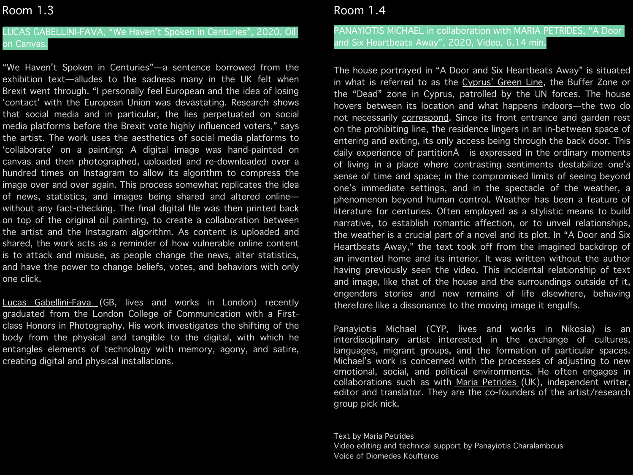## LUCAS GABELLINI-FAVA, "We Haven't Spoken in Centuries", 2020, Oil on Canvas.

"We Haven't Spoken in Centuries"—a sentence borrowed from the exhibition text—alludes to the sadness many in the UK felt when Brexit went through. "I personally feel European and the idea of losing 'contact' with the European Union was devastating. Research shows that social media and in particular, the lies perpetuated on social media platforms before the Brexit vote highly influenced voters," says the artist. The work uses the aesthetics of social media platforms to 'collaborate' on a painting: A digital image was hand-painted on canvas and then photographed, uploaded and re-downloaded over a hundred times on Instagram to allow its algorithm to compress the image over and over again. This process somewhat replicates the idea of news, statistics, and images being shared and altered online without any fact-checking. The final digital file was then printed back on top of the original oil painting, to create a collaboration between the artist and the Instagram algorithm. As content is uploaded and shared, the work acts as a reminder of how vulnerable online content is to attack and misuse, as people change the news, alter statistics, and have the power to change beliefs, votes, and behaviors with only one click.

[Lucas Gabellini-Fava](https://gabellinifava.com) (GB, lives and works in London) recently graduated from the London College of Communication with a Firstclass Honors in Photography. His work investigates the shifting of the body from the physical and tangible to the digital, with which he entangles elements of technology with memory, agony, and satire, creating digital and physical installations.

## Room 1.4

#### PANAYIOTIS MICHAEL in collaboration with MARIA PETRIDES, "A Door and Six Heartbeats Away", 2020, Video, 6.14 min.

The house portrayed in "A Door and Six Heartbeats Away" is situated in what is referred to as the [Cyprus' Green Line](https://en.wikipedia.org/wiki/United_Nations_Buffer_Zone_in_Cyprus), the Buffer Zone or the "Dead" zone in Cyprus, patrolled by the UN forces. The house hovers between its location and what happens indoors—the two do not necessarily [correspond.](https://roarmag.org/magazine/everyday-borders-everyday-resistance/) Since its front entrance and garden rest on the prohibiting line, the residence lingers in an in-between space of entering and exiting, its only access being through the back door. This daily experience of partition $\hat{A}$  is expressed in the ordinary moments of living in a place where contrasting sentiments destabilize one's sense of time and space; in the compromised limits of seeing beyond one's immediate settings, and in the spectacle of the weather, a phenomenon beyond human control. Weather has been a feature of literature for centuries. Often employed as a stylistic means to build narrative, to establish romantic affection, or to unveil relationships, the weather is a crucial part of a novel and its plot. In "A Door and Six Heartbeats Away," the text took off from the imagined backdrop of an invented home and its interior. It was written without the author having previously seen the video. This incidental relationship of text and image, like that of the house and the surroundings outside of it, engenders stories and new remains of life elsewhere, behaving therefore like a dissonance to the moving image it engulfs.

[Panayiotis Michael](http://panayiotismichael.com/home.php) (CYP, lives and works in Nikosia) is an interdisciplinary artist interested in the exchange of cultures, languages, migrant groups, and the formation of particular spaces. Michael's work is concerned with the processes of adjusting to new emotional, social, and political environments. He often engages in collaborations such as with [Maria Petrides](https://saqibooks.com/author/petrides-maria/) (UK), independent writer, editor and translator. They are the co-founders of the artist/research group pick nick.

Text by Maria Petrides Video editing and technical support by Panayiotis Charalambous Voice of Diomedes Koufteros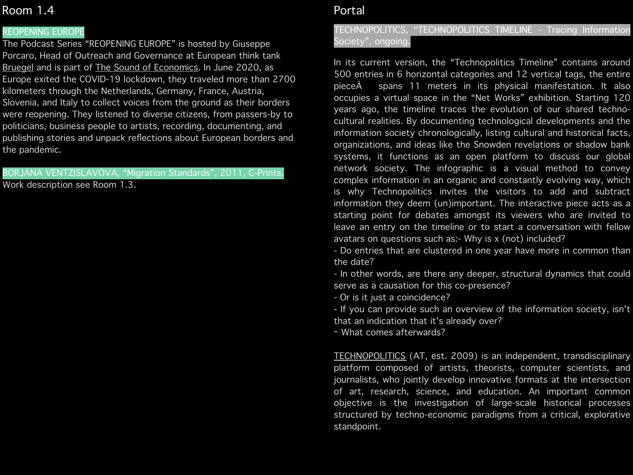### REOPENING EUROPE

The Podcast Series "REOPENING EUROPE" is hosted by Giuseppe Porcaro, Head of Outreach and Governance at European think tank [Bruegel](https://www.bruegel.org/about/) and is part of [The Sound of Economics.](https://audioboom.com/channel/the-sound-of-economics) In June 2020, as Europe exited the COVID-19 lockdown, they traveled more than 2700 kilometers through the Netherlands, Germany, France, Austria, Slovenia, and Italy to collect voices from the ground as their borders were reopening. They listened to diverse citizens, from passers-by to politicians, business people to artists, recording, documenting, and publishing stories and unpack reflections about European borders and the pandemic.

#### BORJANA VENTZISLAVOVA, "Migration Standards", 2011, C-Prints.

Work description see Room 1.3.

## Portal

## TECHNOPOLITICS, "TECHNOPOLITICS TIMELINE - Tracing Information Society", ongoing.

In its current version, the "Technopolitics Timeline" contains around 500 entries in 6 horizontal categories and 12 vertical tags, the entire piece $\hat{A}$  spans 11 meters in its physical manifestation. It also occupies a virtual space in the "Net Works" exhibition. Starting 120 years ago, the timeline traces the evolution of our shared technocultural realities. By documenting technological developments and the information society chronologically, listing cultural and historical facts, organizations, and ideas like the Snowden revelations or shadow bank systems, it functions as an open platform to discuss our global network society. The infographic is a visual method to convey complex information in an organic and constantly evolving way, which is why Technopolitics invites the visitors to add and subtract information they deem (un)important. The interactive piece acts as a starting point for debates amongst its viewers who are invited to leave an entry on the timeline or to start a conversation with fellow avatars on questions such as:- Why is x (not) included?

- Do entries that are clustered in one year have more in common than the date?

- In other words, are there any deeper, structural dynamics that could serve as a causation for this co-presence?

- Or is it just a coincidence?

- If you can provide such an overview of the information society, isn't that an indication that it's already over?

- What comes afterwards?

[TECHNOPOLITICS](http://www.technopolitics.info) (AT, est. 2009) is an independent, transdisciplinary platform composed of artists, theorists, computer scientists, and journalists, who jointly develop innovative formats at the intersection of art, research, science, and education. An important common objective is the investigation of large-scale historical processes structured by techno-economic paradigms from a critical, explorative standpoint.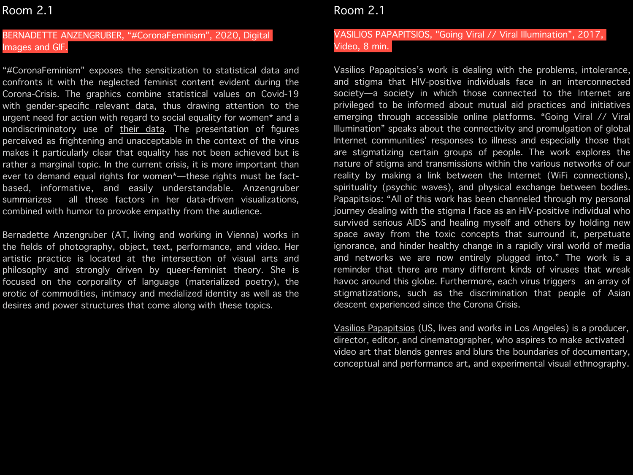### BERNADETTE ANZENGRUBER, "#CoronaFeminism", 2020, Digital Images and GIF.

"#CoronaFeminism" exposes the sensitization to statistical data and confronts it with the neglected feminist content evident during the Corona-Crisis. The graphics combine statistical values on Covid-19 with [gender-specific relevant data](https://www.weforum.org/agenda/2020/03/the-coronavirus-fallout-may-be-worse-for-women-than-men-heres-why/), thus drawing attention to the urgent need for action with regard to social equality for women\* and a nondiscriminatory use of [their data.](https://www.theguardian.com/world/commentisfree/2019/sep/14/your-period-tracking-app-could-be-sharing-intimate-details-with-all-of-facebook?utm_term=ac967ab8e3702d69c7e01fcdaa6c75a2&utm_campaign=TheWeekInPatriarchy&utm_source=esp&utm_medium=Email&CMP=weekinpatriarchy_email) The presentation of figures perceived as frightening and unacceptable in the context of the virus makes it particularly clear that equality has not been achieved but is rather a marginal topic. In the current crisis, it is more important than ever to demand equal rights for women\*—these rights must be factbased, informative, and easily understandable. Anzengruber summarizes all these factors in her data-driven visualizations, combined with humor to provoke empathy from the audience.

[Bernadette Anzengruber](http://www.bernadetteanzengruber.com) (AT, living and working in Vienna) works in the fields of photography, object, text, performance, and video. Her artistic practice is located at the intersection of visual arts and philosophy and strongly driven by queer-feminist theory. She is focused on the corporality of language (materialized poetry), the erotic of commodities, intimacy and medialized identity as well as the desires and power structures that come along with these topics.

## Room 2.1

### VASILIOS PAPAPITSIOS, "Going Viral // Viral Illumination", 2017, Video, 8 min.

Vasilios Papapitsios's work is dealing with the problems, intolerance, and stigma that HIV-positive individuals face in an interconnected society—a society in which those connected to the Internet are privileged to be informed about mutual aid practices and initiatives emerging through accessible online platforms. "Going Viral // Viral Illumination" speaks about the connectivity and promulgation of global Internet communities' responses to illness and especially those that are stigmatizing certain groups of people. The work explores the nature of stigma and transmissions within the various networks of our reality by making a link between the Internet (WiFi connections), spirituality (psychic waves), and physical exchange between bodies. Papapitsios: "All of this work has been channeled through my personal journey dealing with the stigma I face as an HIV-positive individual who survived serious AIDS and healing myself and others by holding new space away from the toxic concepts that surround it, perpetuate ignorance, and hinder healthy change in a rapidly viral world of media and networks we are now entirely plugged into." The work is a reminder that there are many different kinds of viruses that wreak havoc around this globe. Furthermore, each virus triggers an array of stigmatizations, such as the discrimination that people of Asian descent experienced since the Corona Crisis.

[Vasilios Papapitsios](https://www.vasiliospapapitsios.com/creator) (US, lives and works in Los Angeles) is a producer, director, editor, and cinematographer, who aspires to make activated video art that blends genres and blurs the boundaries of documentary, conceptual and performance art, and experimental visual ethnography.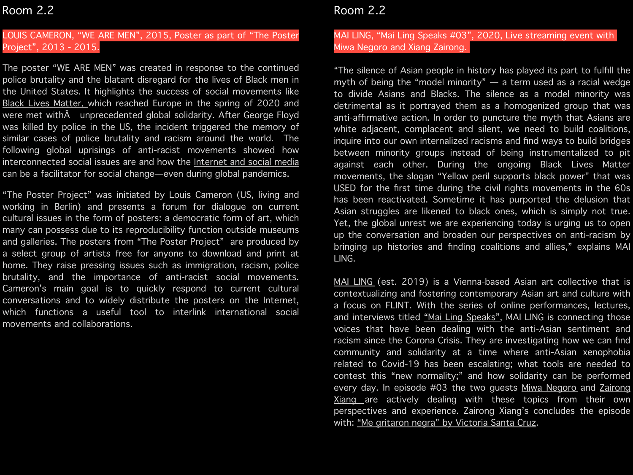## LOUIS CAMERON, "WE ARE MEN", 2015, Poster as part of "The Poster Project", 2013 - 2015.

The poster "WE ARE MEN" was created in response to the continued police brutality and the blatant disregard for the lives of Black men in the United States. It highlights the success of social movements like [Black Lives Matter](https://www.opendemocracy.net/en/transformation/black-lives-matter-also-reckoning-foreign-aid-and-international-ngos/), which reached Europe in the spring of 2020 and were met with unprecedented global solidarity. After George Floyd was killed by police in the US, the incident triggered the memory of similar cases of police brutality and racism around the world. The following global uprisings of anti-racist movements showed how interconnected social issues are and how the [Internet and social media](https://www.opendemocracy.net/en/transformation/what-black-lives-matter-activists-can-teach-us-about-pitfalls-and-potential-digital-organizing/)  can be a facilitator for social change—even during global pandemics.

["The Poster Project"](https://www.posterprojectpresents.net) was initiated by [Louis Cameron](http://www.louiscameron.com) (US, living and working in Berlin) and presents a forum for dialogue on current cultural issues in the form of posters: a democratic form of art, which many can possess due to its reproducibility function outside museums and galleries. The posters from "The Poster Project" are produced by a select group of artists free for anyone to download and print at home. They raise pressing issues such as immigration, racism, police brutality, and the importance of anti-racist social movements. Cameron's main goal is to quickly respond to current cultural conversations and to widely distribute the posters on the Internet, which functions a useful tool to interlink international social movements and collaborations.

# Room 2.2

### MAI LING, "Mai Ling Speaks #03", 2020, Live streaming event with Miwa Negoro and Xiang Zairong.

"The silence of Asian people in history has played its part to fulfill the myth of being the "model minority" — a term used as a racial wedge to divide Asians and Blacks. The silence as a model minority was detrimental as it portrayed them as a homogenized group that was anti-affirmative action. In order to puncture the myth that Asians are white adjacent, complacent and silent, we need to build coalitions, inquire into our own internalized racisms and find ways to build bridges between minority groups instead of being instrumentalized to pit against each other. During the ongoing Black Lives Matter movements, the slogan "Yellow peril supports black power" that was USED for the first time during the civil rights movements in the 60s has been reactivated. Sometime it has purported the delusion that Asian struggles are likened to black ones, which is simply not true. Yet, the global unrest we are experiencing today is urging us to open up the conversation and broaden our perspectives on anti-racism by bringing up histories and finding coalitions and allies," explains MAI LING.

[MAI LING](http://www.mai-ling.org) (est. 2019) is a Vienna-based Asian art collective that is contextualizing and fostering contemporary Asian art and culture with a focus on FLINT. With the series of online performances, lectures, and interviews titled ["Mai Ling Speaks"](https://www.mai-ling.org/post/615766304642744320/09-mai-ling-speaks), MAI LING is connecting those voices that have been dealing with the anti-Asian sentiment and racism since the Corona Crisis. They are investigating how we can find community and solidarity at a time where anti-Asian xenophobia related to Covid-19 has been escalating; what tools are needed to contest this "new normality;" and how solidarity can be performed every day. In episode #03 the two guests [Miwa Negoro](https://miwanegoro.com/) and Zairong [Xiang](http://www.xiangzairong.com) are actively dealing with these topics from their own perspectives and experience. Zairong Xiang's concludes the episode with: ["Me gritaron negra" by Victoria Santa Cruz](https://www.youtube.com/watch?v=cHr8DTNRZdg&t=4s).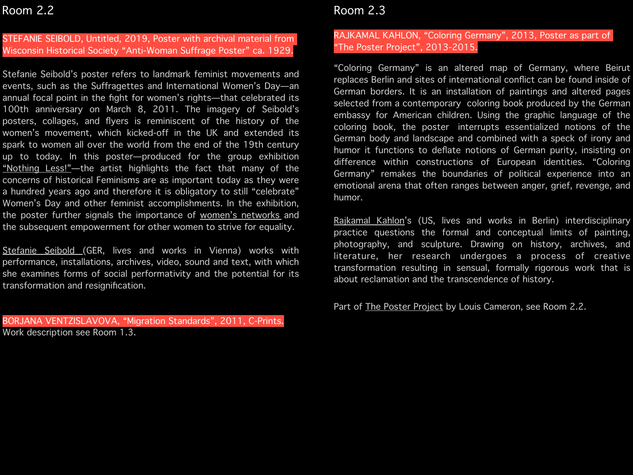### STEFANIE SEIBOLD, Untitled, 2019, Poster with archival material from Wisconsin Historical Society "Anti-Woman Suffrage Poster" ca. 1929.

Stefanie Seibold's poster refers to landmark feminist movements and events, such as the Suffragettes and International Women's Day—an annual focal point in the fight for women's rights—that celebrated its 100th anniversary on March 8, 2011. The imagery of Seibold's posters, collages, and flyers is reminiscent of the history of the women's movement, which kicked-off in the UK and extended its spark to women all over the world from the end of the 19th century up to today. In this poster—produced for the group exhibition ["Nothing Less!"](https://www.saloon-wien.at/nothing-less/)-the artist highlights the fact that many of the concerns of historical Feminisms are as important today as they were a hundred years ago and therefore it is obligatory to still "celebrate" Women's Day and other feminist accomplishments. In the exhibition, the poster further signals the importance of [women's networks](http://www.saloon-network.org) and the subsequent empowerment for other women to strive for equality.

[Stefanie Seibold \(](http://www.clevergretel.com)GER, lives and works in Vienna) works with performance, installations, archives, video, sound and text, with which she examines forms of social performativity and the potential for its transformation and resignification.

BORJANA VENTZISLAVOVA, "Migration Standards", 2011, C-Prints. Work description see Room 1.3.

# Room 2.3

### RAJKAMAL KAHLON, "Coloring Germany", 2013, Poster as part of "The Poster Project", 2013-2015.

"Coloring Germany" is an altered map of Germany, where Beirut replaces Berlin and sites of international conflict can be found inside of German borders. It is an installation of paintings and altered pages selected from a contemporary coloring book produced by the German embassy for American children. Using the graphic language of the coloring book, the poster interrupts essentialized notions of the German body and landscape and combined with a speck of irony and humor it functions to deflate notions of German purity, insisting on difference within constructions of European identities. "Coloring Germany" remakes the boundaries of political experience into an emotional arena that often ranges between anger, grief, revenge, and humor.

[Rajkamal Kahlon](http://www.rajkamalkahlon.com)'s (US, lives and works in Berlin) interdisciplinary practice questions the formal and conceptual limits of painting, photography, and sculpture. Drawing on history, archives, and literature, her research undergoes a process of creative transformation resulting in sensual, formally rigorous work that is about reclamation and the transcendence of history.

Part of [The Poster Project](https://www.posterprojectpresents.net) by Louis Cameron, see Room 2.2.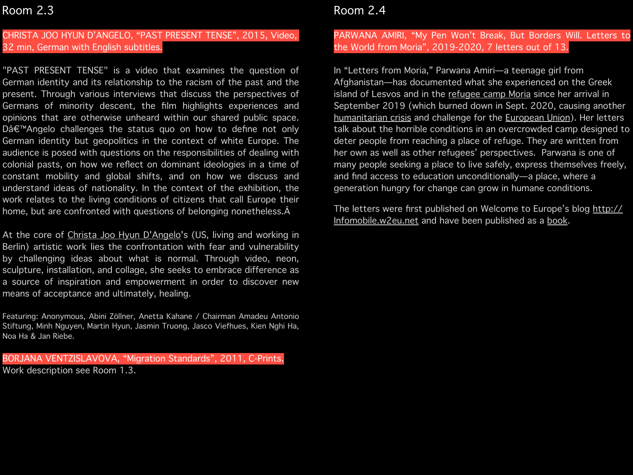## CHRISTA JOO HYUN D'ANGELO, "PAST PRESENT TENSE", 2015, Video, 32 min, German with English subtitles.

"PAST PRESENT TENSE" is a video that examines the question of German identity and its relationship to the racism of the past and the present. Through various interviews that discuss the perspectives of Germans of minority descent, the film highlights experiences and opinions that are otherwise unheard within our shared public space. Dâ€™Angelo challenges the status quo on how to define not only German identity but geopolitics in the context of white Europe. The audience is posed with questions on the responsibilities of dealing with colonial pasts, on how we reflect on dominant ideologies in a time of constant mobility and global shifts, and on how we discuss and understand ideas of nationality. In the context of the exhibition, the work relates to the living conditions of citizens that call Europe their home, but are confronted with questions of belonging nonetheless.Â

At the core of [Christa Joo Hyun D'Angelo](http://christajdangelo.com)'s (US, living and working in Berlin) artistic work lies the confrontation with fear and vulnerability by challenging ideas about what is normal. Through video, neon, sculpture, installation, and collage, she seeks to embrace difference as a source of inspiration and empowerment in order to discover new means of acceptance and ultimately, healing.

Featuring: Anonymous, Abini Zöllner, Anetta Kahane / Chairman Amadeu Antonio Stiftung, Minh Nguyen, Martin Hyun, Jasmin Truong, Jasco Viefhues, Kien Nghi Ha, Noa Ha & Jan Riebe.

BORJANA VENTZISLAVOVA, "Migration Standards", 2011, C-Prints. Work description see Room 1.3.

# Room 2.4

## PARWANA AMIRI, "My Pen Won't Break, But Borders Will. Letters to the World from Moria", 2019-2020, 7 letters out of 13.

In "Letters from Moria," Parwana Amiri—a teenage girl from Afghanistan—has documented what she experienced on the Greek island of Lesvos and in the [refugee camp Moria](https://vimeo.com/user49057406) since her arrival in September 2019 (which burned down in Sept. 2020, causing another [humanitarian crisis](https://www.opendemocracy.net/en/can-europe-make-it/greek-islands-long-term-commitment-needed-fellow-europeans/) and challenge for the **[European Union](https://foreignpolicy.com/2020/09/20/europes-failed-migration-policy-caused-greeces-latest-refugee-crisis/?fbclid=IwAR0Go3_d4oUQ7fyef1jTOqwBnLRunaqoL_kShf2WX6dzYR3eUZSy_3IHDQ4)**). Her letters talk about the horrible conditions in an overcrowded camp designed to deter people from reaching a place of refuge. They are written from her own as well as other refugees' perspectives. Parwana is one of many people seeking a place to live safely, express themselves freely, and find access to education unconditionally—a place, where a generation hungry for change can grow in humane conditions.

The letters were first published on Welcome to Europe's blog [http://](http://Infomobile.w2eu.net) [Infomobile.w2eu.net](http://Infomobile.w2eu.net) and have been published as a [book.](http://lesvos.w2eu.net/files/2020/04/broshure-Letters-from-Moria-202002-screen.pdf)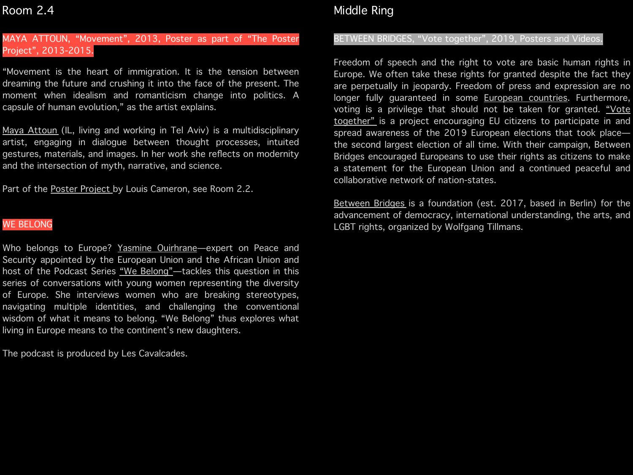### MAYA ATTOUN, "Movement", 2013, Poster as part of "The Poster Project", 2013-2015.

"Movement is the heart of immigration. It is the tension between dreaming the future and crushing it into the face of the present. The moment when idealism and romanticism change into politics. A capsule of human evolution," as the artist explains.

[Maya Attoun](http://www.mayaattoun.com) (IL, living and working in Tel Aviv) is a multidisciplinary artist, engaging in dialogue between thought processes, intuited gestures, materials, and images. In her work she reflects on modernity and the intersection of myth, narrative, and science.

Part of the [Poster Project b](https://www.posterprojectpresents.net)y Louis Cameron, see Room 2.2.

#### WE BELONG

Who belongs to Europe? [Yasmine Ouirhrane—](https://neweuropeans.net/bg/node/3272)expert on Peace and Security appointed by the European Union and the African Union and host of the Podcast Series "We Belong"-tackles this question in this series of conversations with young women representing the diversity of Europe. She interviews women who are breaking stereotypes, navigating multiple identities, and challenging the conventional wisdom of what it means to belong. "We Belong" thus explores what living in Europe means to the continent's new daughters.

The podcast is produced by Les Cavalcades.

# Middle Ring

#### BETWEEN BRIDGES, "Vote together", 2019, Posters and Videos.

Freedom of speech and the right to vote are basic human rights in Europe. We often take these rights for granted despite the fact they are perpetually in jeopardy. Freedom of press and expression are no longer fully guaranteed in some [European countries.](https://roarmag.org/magazine/a-europe-in-common/) Furthermore, voting is a privilege that should not be taken for granted. "Vote [together"](https://votetogether.eu/en/blog/) is a project encouraging EU citizens to participate in and spread awareness of the 2019 European elections that took place the second largest election of all time. With their campaign, Between Bridges encouraged Europeans to use their rights as citizens to make a statement for the European Union and a continued peaceful and collaborative network of nation-states.

[Between Bridges](http://www.betweenbridges.net/index.php) is a foundation (est. 2017, based in Berlin) for the advancement of democracy, international understanding, the arts, and LGBT rights, organized by Wolfgang Tillmans.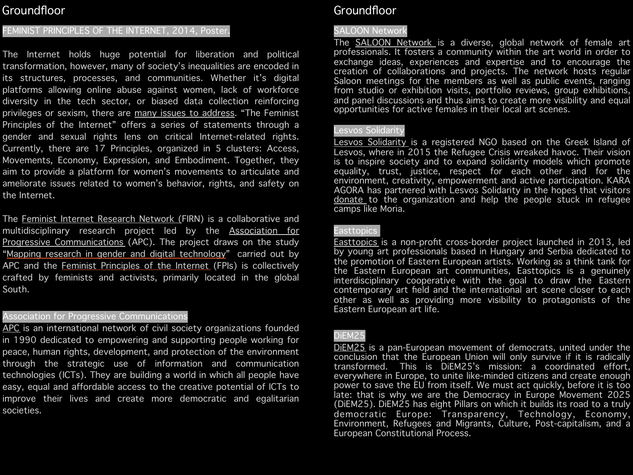# Groundfloor

### FEMINIST PRINCIPLES OF THE INTERNET, 2014, Poster.

The Internet holds huge potential for liberation and political transformation, however, many of society's inequalities are encoded in its structures, processes, and communities. Whether it's digital platforms allowing online abuse against women, lack of workforce diversity in the tech sector, or biased data collection reinforcing privileges or sexism, there are [many issues to address](https://www.opendemocracy.net/en/5050/what-would-feminist-internet-look-like/). "The Feminist Principles of the Internet" offers a series of statements through a gender and sexual rights lens on critical Internet-related rights. Currently, there are 17 Principles, organized in 5 clusters: Access, Movements, Economy, Expression, and Embodiment. Together, they aim to provide a platform for women's movements to articulate and ameliorate issues related to women's behavior, rights, and safety on the Internet.

The [Feminist Internet Research Network \(](https://www.apc.org/en/project/firn-feminist-internet-research-network)FIRN) is a collaborative and multidisciplinary research project led by the [Association for](https://www.apc.org/en)  [Progressive Communications](https://www.apc.org/en) (APC). The project draws on the study "[Mapping research in gender and digital technology](https://www.apc.org/en/mappinggenderandtechsummary)" carried out by APC and the [Feminist Principles of the Internet](https://feministinternet.net/) (FPIs) is collectively crafted by feminists and activists, primarily located in the global South.

#### Association for Progressive Communications

[APC](https://www.apc.org/en) is an international network of civil society organizations founded in 1990 dedicated to empowering and supporting people working for peace, human rights, development, and protection of the environment through the strategic use of information and communication technologies (ICTs). They are building a world in which all people have easy, equal and affordable access to the creative potential of ICTs to improve their lives and create more democratic and egalitarian societies.

## Groundfloor

#### SALOON Network

The [SALOON Network](http://www.saloon-network.org) is a diverse, global network of female art professionals. It fosters a community within the art world in order to exchange ideas, experiences and expertise and to encourage the creation of collaborations and projects. The network hosts regular Saloon meetings for the members as well as public events, ranging from studio or exhibition visits, portfolio reviews, group exhibitions, and panel discussions and thus aims to create more visibility and equal opportunities for active females in their local art scenes.

#### Lesvos Solidarity

[Lesvos Solidarity](https://lesvossolidarity.org/en/) is a registered NGO based on the Greek Island of Lesvos, where in 2015 the Refugee Crisis wreaked havoc. Their vision is to inspire society and to expand solidarity models which promote equality, trust, justice, respect for each other and for the environment, creativity, empowerment and active participation. KARA AGORA has partnered with Lesvos Solidarity in the hopes that visitors [donate](http://www.karaagora.center/solidarity/) to the organization and help the people stuck in refugee camps like Moria.

#### Easttopics

[Easttopics](https://www.easttopics.com/) is a non-profit cross-border project launched in 2013, led by young art professionals based in Hungary and Serbia dedicated to the promotion of Eastern European artists. Working as a think tank for the Eastern European art communities, Easttopics is a genuinely interdisciplinary cooperative with the goal to draw the Eastern contemporary art field and the international art scene closer to each other as well as providing more visibility to protagonists of the Eastern European art life.

### DiEM25

DIEM25 is a pan-European movement of democrats, united under the conclusion that the European Union will only survive if it is radically transformed. This is DiEM25's mission: a coordinated effort, everywhere in Europe, to unite like-minded citizens and create enough power to save the EU from itself. We must act quickly, before it is too late: that is why we are the Democracy in Europe Movement 2025 (DiEM25). DiEM25 has eight Pillars on which it builds its road to a truly democratic Europe: Transparency, Technology, Economy, Environment, Refugees and Migrants, Culture, Post-capitalism, and a European Constitutional Process.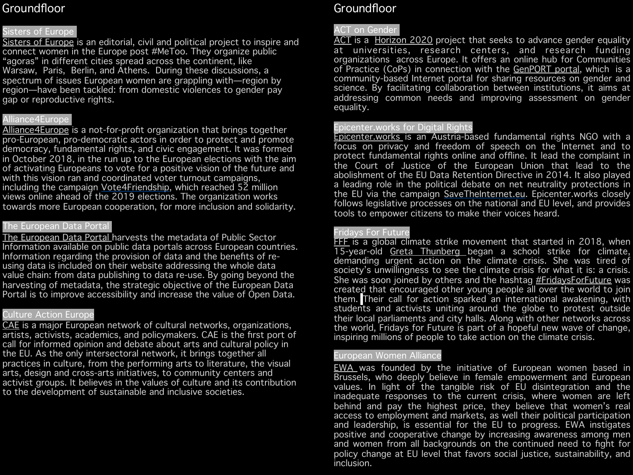# **Groundfloor**

### Sisters of Europe

[Sisters of Europe](https://sistersofeurope.com/#about) is an editorial, civil and political project to inspire and connect women in the Europe post [#MeToo.](https://twitter.com/search?q=%2523MeToo&src=hashtag_click) They organize public "agoras" in different cities spread across the continent, like Warsaw, Paris, Berlin, and Athens. During these discussions, a spectrum of issues European women are grappling with—region by region—have been tackled: from domestic violences to gender pay gap or reproductive rights.

## Alliance4Europe

[Alliance4Europe](http://www.alliance4europe.eu) is a not-for-profit organization that brings together pro-European, pro-democratic actors in order to protect and promote democracy, fundamental rights, and civic engagement. It was formed in October 2018, in the run up to the European elections with the aim of activating Europeans to vote for a positive vision of the future and with this vision ran and coordinated voter turnout campaigns, including the campaign [Vote4Friendship,](https://vote4friendship.eu/) which reached 52 million views online ahead of the 2019 elections. The organization works towards more European cooperation, for more inclusion and solidarity.

### The European Data Portal

[The European Data Portal](https://www.europeandataportal.eu/en) harvests the metadata of Public Sector Information available on public data portals across European countries. Information regarding the provision of data and the benefits of reusing data is included on their website addressing the whole data value chain: from data publishing to data re-use. By going beyond the harvesting of metadata, the strategic objective of the European Data Portal is to improve accessibility and increase the value of Open Data.

### Culture Action Europe

[CAE](https://cultureactioneurope.org) is a major European network of cultural networks, organizations, artists, activists, academics, and policymakers. CAE is the first port of call for informed opinion and debate about arts and cultural policy in the EU. As the only intersectoral network, it brings together all practices in culture, from the performing arts to literature, the visual arts, design and cross-arts initiatives, to community centers and activist groups. It believes in the values of culture and its contribution to the development of sustainable and inclusive societies.

# Groundfloor

### ACT on Gender

[ACT](https://www.act-on-gender.eu) is a [Horizon 2020](http://ec.europa.eu/programmes/horizon2020/) project that seeks to advance gender equality at universities, research centers, and research funding organizations across Europe. It offers an online hub for Communities of Practice (CoPs) in connection with the [GenPORT portal](https://www.genderportal.eu/), which is a community-based Internet portal for sharing resources on gender and science. By facilitating collaboration between institutions, it aims at addressing common needs and improving assessment on gender equality.

### Epicenter.works for Digital Rights

[Epicenter.works](https://en.epicenter.works) is an Austria-based fundamental rights NGO with a focus on privacy and freedom of speech on the Internet and to protect fundamental rights online and offline. It lead the complaint in the Court of Justice of the European Union that lead to the abolishment of the EU Data Retention Directive in 2014. It also played a leading role in the political debate on net neutrality protections in the EU via the campaign [SaveTheInternet.eu.](http://savetheinternet.eu/) Epicenter.works closely follows legislative processes on the national and EU level, and provides tools to empower citizens to make their voices heard.

#### Fridays For Future

[FFF](https://fridaysforfuture.org) is a global climate strike movement that started in 2018, when 15-year-old [Greta Thunberg](https://twitter.com/gretathunberg) began a school strike for climate, demanding urgent action on the climate crisis. She was tired of society's unwillingness to see the climate crisis for what it is: a crisis. She was soon joined by others and the hashtag [#FridaysForFuture](https://fridaysforfuture.org/take-action/social-media/) was created that encouraged other young people all over the world to join them. Their call for action sparked an international awakening, with students and activists uniting around the globe to protest outside their local parliaments and city halls. Along with other networks across the world, Fridays for Future is part of a hopeful new wave of change, inspiring millions of people to take action on the climate crisis.

#### European Women Alliance

[EWA](https://europeanwomenalliance.eu) was founded by the initiative of European women based in Brussels, who deeply believe in female empowerment and European values. In light of the tangible risk of EU disintegration and the inadequate responses to the current crisis, where women are left behind and pay the highest price, they believe that women's real access to employment and markets, as well their political participation and leadership, is essential for the EU to progress. EWA instigates positive and cooperative change by increasing awareness among men and women from all backgrounds on the continued need to fight for policy change at EU level that favors social justice, sustainability, and inclusion.